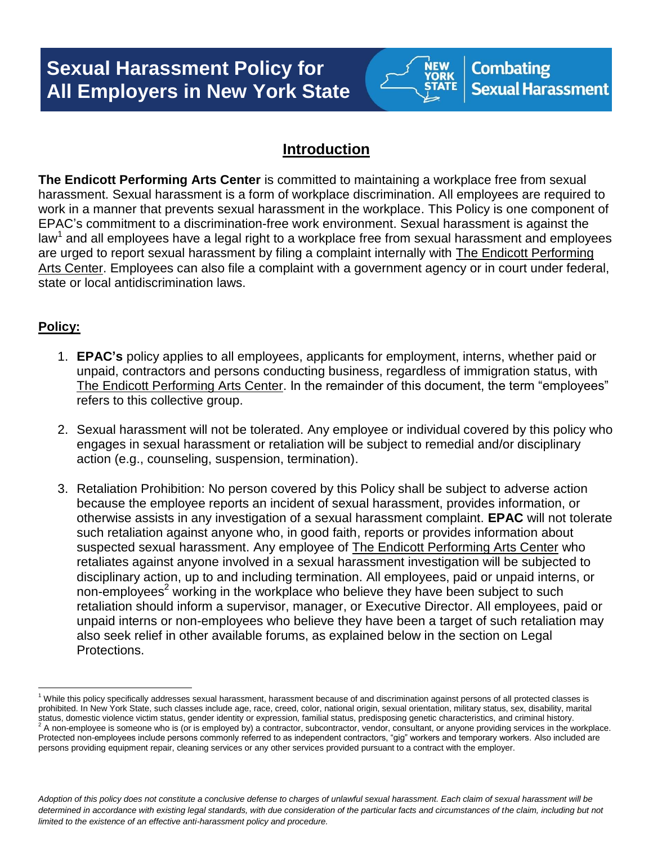

# **Introduction**

**The Endicott Performing Arts Center** is committed to maintaining a workplace free from sexual harassment. Sexual harassment is a form of workplace discrimination. All employees are required to work in a manner that prevents sexual harassment in the workplace. This Policy is one component of EPAC's commitment to a discrimination-free work environment. Sexual harassment is against the law<sup>1</sup> and all employees have a legal right to a workplace free from sexual harassment and employees are urged to report sexual harassment by filing a complaint internally with The Endicott Performing Arts Center. Employees can also file a complaint with a government agency or in court under federal, state or local antidiscrimination laws.

### **Policy:**

 $\overline{a}$ 

- 1. **EPAC's** policy applies to all employees, applicants for employment, interns, whether paid or unpaid, contractors and persons conducting business, regardless of immigration status, with The Endicott Performing Arts Center. In the remainder of this document, the term "employees" refers to this collective group.
- 2. Sexual harassment will not be tolerated. Any employee or individual covered by this policy who engages in sexual harassment or retaliation will be subject to remedial and/or disciplinary action (e.g., counseling, suspension, termination).
- 3. Retaliation Prohibition: No person covered by this Policy shall be subject to adverse action because the employee reports an incident of sexual harassment, provides information, or otherwise assists in any investigation of a sexual harassment complaint. **EPAC** will not tolerate such retaliation against anyone who, in good faith, reports or provides information about suspected sexual harassment. Any employee of The Endicott Performing Arts Center who retaliates against anyone involved in a sexual harassment investigation will be subjected to disciplinary action, up to and including termination. All employees, paid or unpaid interns, or non-employees <sup>2</sup> working in the workplace who believe they have been subject to such retaliation should inform a supervisor, manager, or Executive Director. All employees, paid or unpaid interns or non-employees who believe they have been a target of such retaliation may also seek relief in other available forums, as explained below in the section on Legal Protections.

*Adoption of this policy does not constitute a conclusive defense to charges of unlawful sexual harassment. Each claim of sexual harassment will be*  determined in accordance with existing legal standards, with due consideration of the particular facts and circumstances of the claim, including but not *limited to the existence of an effective anti-harassment policy and procedure.*

 $1$  While this policy specifically addresses sexual harassment, harassment because of and discrimination against persons of all protected classes is prohibited. In New York State, such classes include age, race, creed, color, national origin, sexual orientation, military status, sex, disability, marital status, domestic violence victim status, gender identity or expression, familial status, predisposing genetic characteristics, and criminal history. <sup>2</sup> A non-employee is someone who is (or is employed by) a contractor, subcontractor, vendor, consultant, or anyone providing services in the workplace. Protected non-employees include persons commonly referred to as independent contractors, "gig" workers and temporary workers. Also included are persons providing equipment repair, cleaning services or any other services provided pursuant to a contract with the employer.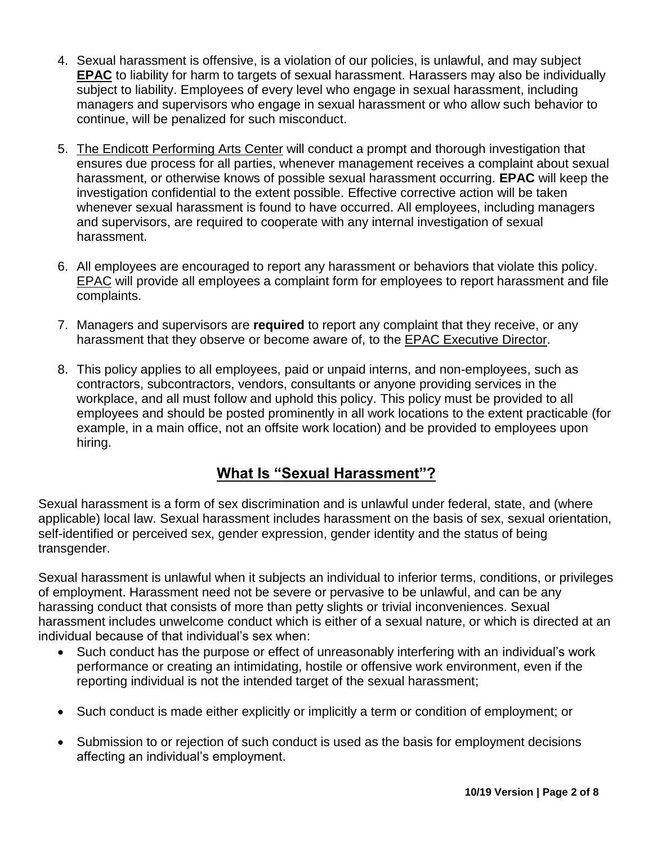- 4. Sexual harassment is offensive, is a violation of our policies, is unlawful, and may subject **EPAC** to liability for harm to targets of sexual harassment. Harassers may also be individually subject to liability. Employees of every level who engage in sexual harassment, including managers and supervisors who engage in sexual harassment or who allow such behavior to continue, will be penalized for such misconduct.
- 5. The Endicott Performing Arts Center will conduct a prompt and thorough investigation that ensures due process for all parties, whenever management receives a complaint about sexual harassment, or otherwise knows of possible sexual harassment occurring. **EPAC** will keep the investigation confidential to the extent possible. Effective corrective action will be taken whenever sexual harassment is found to have occurred. All employees, including managers and supervisors, are required to cooperate with any internal investigation of sexual harassment.
- 6. All employees are encouraged to report any harassment or behaviors that violate this policy. EPAC will provide all employees a complaint form for employees to report harassment and file complaints.
- 7. Managers and supervisors are **required** to report any complaint that they receive, or any harassment that they observe or become aware of, to the EPAC Executive Director.
- 8. This policy applies to all employees, paid or unpaid interns, and non-employees, such as contractors, subcontractors, vendors, consultants or anyone providing services in the workplace, and all must follow and uphold this policy. This policy must be provided to all employees and should be posted prominently in all work locations to the extent practicable (for example, in a main office, not an offsite work location) and be provided to employees upon hiring.

# **What Is "Sexual Harassment"?**

Sexual harassment is a form of sex discrimination and is unlawful under federal, state, and (where applicable) local law. Sexual harassment includes harassment on the basis of sex, sexual orientation, self-identified or perceived sex, gender expression, gender identity and the status of being transgender.

Sexual harassment is unlawful when it subjects an individual to inferior terms, conditions, or privileges of employment. Harassment need not be severe or pervasive to be unlawful, and can be any harassing conduct that consists of more than petty slights or trivial inconveniences. Sexual harassment includes unwelcome conduct which is either of a sexual nature, or which is directed at an individual because of that individual's sex when:

- Such conduct has the purpose or effect of unreasonably interfering with an individual's work performance or creating an intimidating, hostile or offensive work environment, even if the reporting individual is not the intended target of the sexual harassment;
- Such conduct is made either explicitly or implicitly a term or condition of employment; or
- Submission to or rejection of such conduct is used as the basis for employment decisions affecting an individual's employment.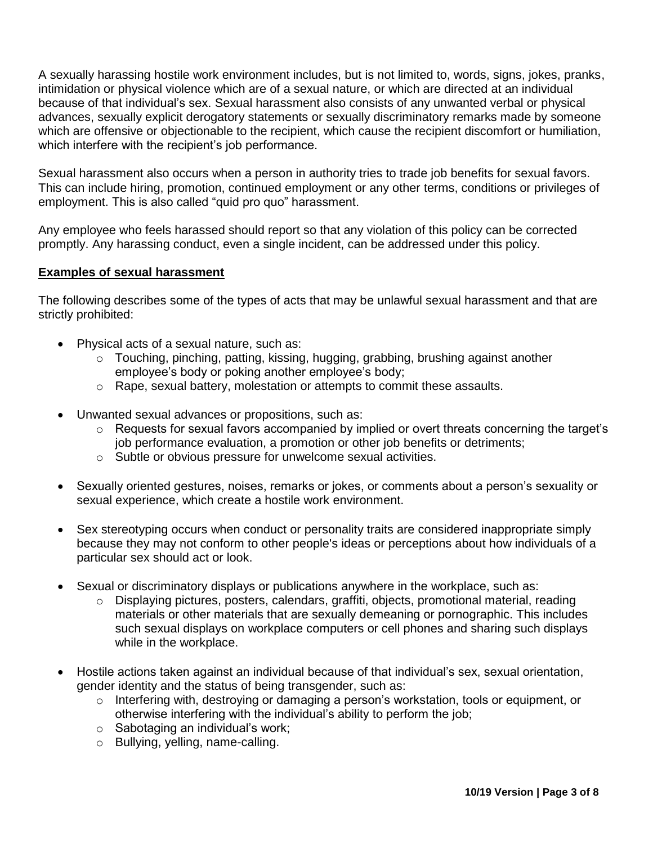A sexually harassing hostile work environment includes, but is not limited to, words, signs, jokes, pranks, intimidation or physical violence which are of a sexual nature, or which are directed at an individual because of that individual's sex. Sexual harassment also consists of any unwanted verbal or physical advances, sexually explicit derogatory statements or sexually discriminatory remarks made by someone which are offensive or objectionable to the recipient, which cause the recipient discomfort or humiliation, which interfere with the recipient's job performance.

Sexual harassment also occurs when a person in authority tries to trade job benefits for sexual favors. This can include hiring, promotion, continued employment or any other terms, conditions or privileges of employment. This is also called "quid pro quo" harassment.

Any employee who feels harassed should report so that any violation of this policy can be corrected promptly. Any harassing conduct, even a single incident, can be addressed under this policy.

#### **Examples of sexual harassment**

The following describes some of the types of acts that may be unlawful sexual harassment and that are strictly prohibited:

- Physical acts of a sexual nature, such as:
	- o Touching, pinching, patting, kissing, hugging, grabbing, brushing against another employee's body or poking another employee's body;
	- o Rape, sexual battery, molestation or attempts to commit these assaults.
- Unwanted sexual advances or propositions, such as:
	- o Requests for sexual favors accompanied by implied or overt threats concerning the target's job performance evaluation, a promotion or other job benefits or detriments;
	- o Subtle or obvious pressure for unwelcome sexual activities.
- Sexually oriented gestures, noises, remarks or jokes, or comments about a person's sexuality or sexual experience, which create a hostile work environment.
- Sex stereotyping occurs when conduct or personality traits are considered inappropriate simply because they may not conform to other people's ideas or perceptions about how individuals of a particular sex should act or look.
- Sexual or discriminatory displays or publications anywhere in the workplace, such as:
	- o Displaying pictures, posters, calendars, graffiti, objects, promotional material, reading materials or other materials that are sexually demeaning or pornographic. This includes such sexual displays on workplace computers or cell phones and sharing such displays while in the workplace.
- Hostile actions taken against an individual because of that individual's sex, sexual orientation, gender identity and the status of being transgender, such as:
	- o Interfering with, destroying or damaging a person's workstation, tools or equipment, or otherwise interfering with the individual's ability to perform the job;
	- o Sabotaging an individual's work;
	- o Bullying, yelling, name-calling.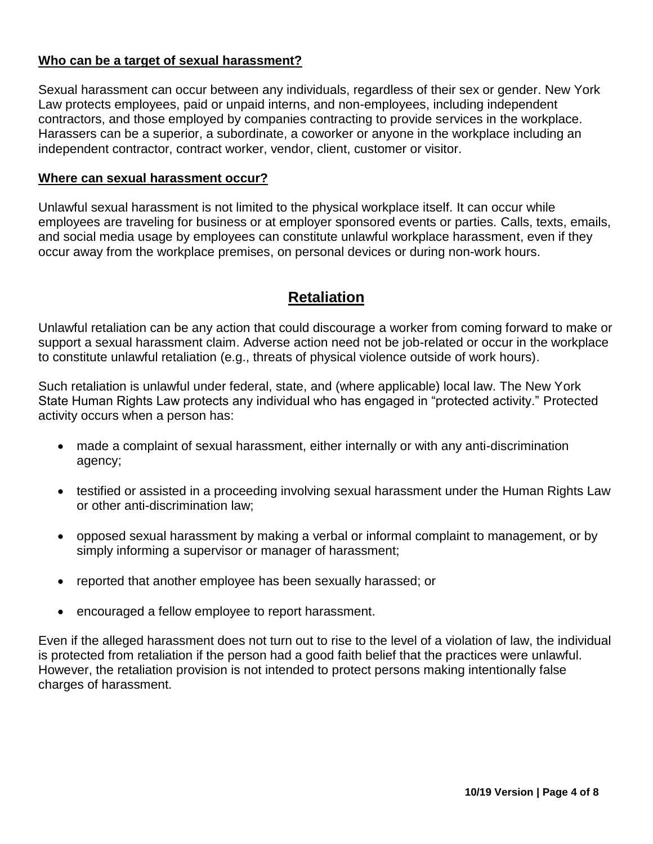#### **Who can be a target of sexual harassment?**

Sexual harassment can occur between any individuals, regardless of their sex or gender. New York Law protects employees, paid or unpaid interns, and non-employees, including independent contractors, and those employed by companies contracting to provide services in the workplace. Harassers can be a superior, a subordinate, a coworker or anyone in the workplace including an independent contractor, contract worker, vendor, client, customer or visitor.

#### **Where can sexual harassment occur?**

Unlawful sexual harassment is not limited to the physical workplace itself. It can occur while employees are traveling for business or at employer sponsored events or parties. Calls, texts, emails, and social media usage by employees can constitute unlawful workplace harassment, even if they occur away from the workplace premises, on personal devices or during non-work hours.

### **Retaliation**

Unlawful retaliation can be any action that could discourage a worker from coming forward to make or support a sexual harassment claim. Adverse action need not be job-related or occur in the workplace to constitute unlawful retaliation (e.g., threats of physical violence outside of work hours).

Such retaliation is unlawful under federal, state, and (where applicable) local law. The New York State Human Rights Law protects any individual who has engaged in "protected activity." Protected activity occurs when a person has:

- made a complaint of sexual harassment, either internally or with any anti-discrimination agency;
- testified or assisted in a proceeding involving sexual harassment under the Human Rights Law or other anti-discrimination law;
- opposed sexual harassment by making a verbal or informal complaint to management, or by simply informing a supervisor or manager of harassment;
- reported that another employee has been sexually harassed; or
- encouraged a fellow employee to report harassment.

Even if the alleged harassment does not turn out to rise to the level of a violation of law, the individual is protected from retaliation if the person had a good faith belief that the practices were unlawful. However, the retaliation provision is not intended to protect persons making intentionally false charges of harassment.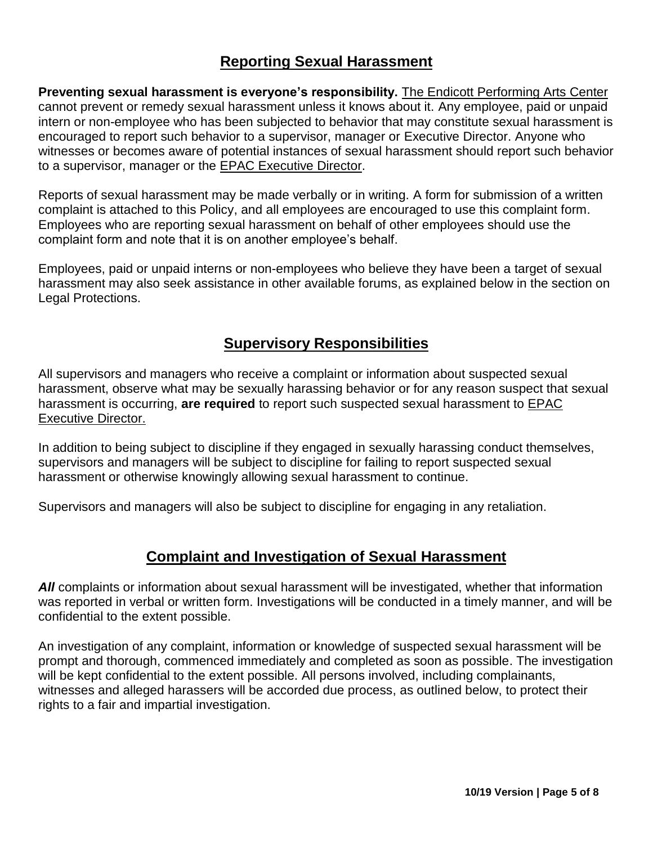### **Reporting Sexual Harassment**

**Preventing sexual harassment is everyone's responsibility.** The Endicott Performing Arts Center cannot prevent or remedy sexual harassment unless it knows about it. Any employee, paid or unpaid intern or non-employee who has been subjected to behavior that may constitute sexual harassment is encouraged to report such behavior to a supervisor, manager or Executive Director. Anyone who witnesses or becomes aware of potential instances of sexual harassment should report such behavior to a supervisor, manager or the EPAC Executive Director.

Reports of sexual harassment may be made verbally or in writing. A form for submission of a written complaint is attached to this Policy, and all employees are encouraged to use this complaint form. Employees who are reporting sexual harassment on behalf of other employees should use the complaint form and note that it is on another employee's behalf.

Employees, paid or unpaid interns or non-employees who believe they have been a target of sexual harassment may also seek assistance in other available forums, as explained below in the section on Legal Protections.

## **Supervisory Responsibilities**

All supervisors and managers who receive a complaint or information about suspected sexual harassment, observe what may be sexually harassing behavior or for any reason suspect that sexual harassment is occurring, **are required** to report such suspected sexual harassment to EPAC Executive Director.

In addition to being subject to discipline if they engaged in sexually harassing conduct themselves, supervisors and managers will be subject to discipline for failing to report suspected sexual harassment or otherwise knowingly allowing sexual harassment to continue.

Supervisors and managers will also be subject to discipline for engaging in any retaliation.

## **Complaint and Investigation of Sexual Harassment**

**All** complaints or information about sexual harassment will be investigated, whether that information was reported in verbal or written form. Investigations will be conducted in a timely manner, and will be confidential to the extent possible.

An investigation of any complaint, information or knowledge of suspected sexual harassment will be prompt and thorough, commenced immediately and completed as soon as possible. The investigation will be kept confidential to the extent possible. All persons involved, including complainants, witnesses and alleged harassers will be accorded due process, as outlined below, to protect their rights to a fair and impartial investigation.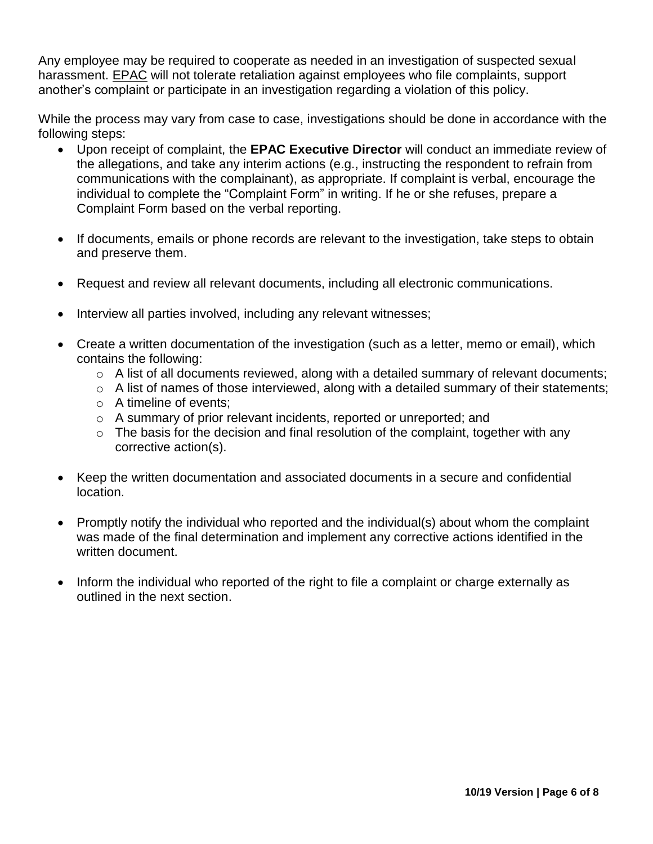Any employee may be required to cooperate as needed in an investigation of suspected sexual harassment. EPAC will not tolerate retaliation against employees who file complaints, support another's complaint or participate in an investigation regarding a violation of this policy.

While the process may vary from case to case, investigations should be done in accordance with the following steps:

- Upon receipt of complaint, the **EPAC Executive Director** will conduct an immediate review of the allegations, and take any interim actions (e.g., instructing the respondent to refrain from communications with the complainant), as appropriate. If complaint is verbal, encourage the individual to complete the "Complaint Form" in writing. If he or she refuses, prepare a Complaint Form based on the verbal reporting.
- If documents, emails or phone records are relevant to the investigation, take steps to obtain and preserve them.
- Request and review all relevant documents, including all electronic communications.
- Interview all parties involved, including any relevant witnesses;
- Create a written documentation of the investigation (such as a letter, memo or email), which contains the following:
	- $\circ$  A list of all documents reviewed, along with a detailed summary of relevant documents;
	- o A list of names of those interviewed, along with a detailed summary of their statements;
	- o A timeline of events;
	- o A summary of prior relevant incidents, reported or unreported; and
	- $\circ$  The basis for the decision and final resolution of the complaint, together with any corrective action(s).
- Keep the written documentation and associated documents in a secure and confidential location.
- Promptly notify the individual who reported and the individual(s) about whom the complaint was made of the final determination and implement any corrective actions identified in the written document.
- Inform the individual who reported of the right to file a complaint or charge externally as outlined in the next section.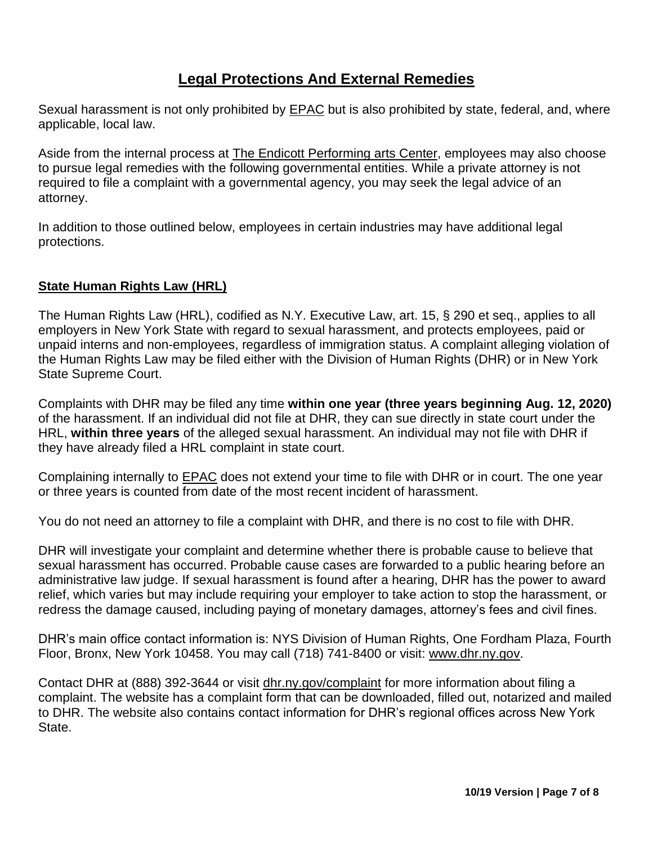# **Legal Protections And External Remedies**

Sexual harassment is not only prohibited by EPAC but is also prohibited by state, federal, and, where applicable, local law.

Aside from the internal process at The Endicott Performing arts Center, employees may also choose to pursue legal remedies with the following governmental entities. While a private attorney is not required to file a complaint with a governmental agency, you may seek the legal advice of an attorney.

In addition to those outlined below, employees in certain industries may have additional legal protections.

### **State Human Rights Law (HRL)**

The Human Rights Law (HRL), codified as N.Y. Executive Law, art. 15, § 290 et seq., applies to all employers in New York State with regard to sexual harassment, and protects employees, paid or unpaid interns and non-employees, regardless of immigration status. A complaint alleging violation of the Human Rights Law may be filed either with the Division of Human Rights (DHR) or in New York State Supreme Court.

Complaints with DHR may be filed any time **within one year (three years beginning Aug. 12, 2020)** of the harassment. If an individual did not file at DHR, they can sue directly in state court under the HRL, **within three years** of the alleged sexual harassment. An individual may not file with DHR if they have already filed a HRL complaint in state court.

Complaining internally to EPAC does not extend your time to file with DHR or in court. The one year or three years is counted from date of the most recent incident of harassment.

You do not need an attorney to file a complaint with DHR, and there is no cost to file with DHR.

DHR will investigate your complaint and determine whether there is probable cause to believe that sexual harassment has occurred. Probable cause cases are forwarded to a public hearing before an administrative law judge. If sexual harassment is found after a hearing, DHR has the power to award relief, which varies but may include requiring your employer to take action to stop the harassment, or redress the damage caused, including paying of monetary damages, attorney's fees and civil fines.

DHR's main office contact information is: NYS Division of Human Rights, One Fordham Plaza, Fourth Floor, Bronx, New York 10458. You may call (718) 741-8400 or visit: [www.dhr.ny.gov.](http://www.dhr.ny.gov/)

Contact DHR at (888) 392-3644 or visit [dhr.ny.gov/complaint](https://dhr.ny.gov/complaint) for more information about filing a complaint. The website has a complaint form that can be downloaded, filled out, notarized and mailed to DHR. The website also contains contact information for DHR's regional offices across New York **State**